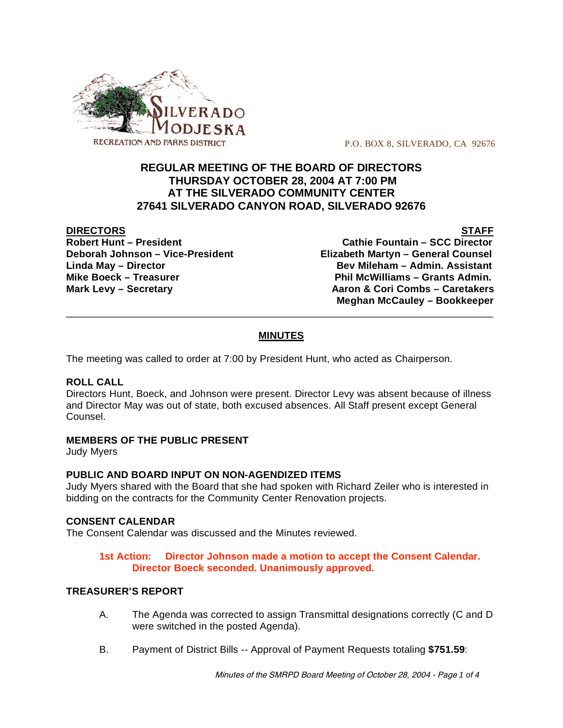

P.O. BOX 8, SILVERADO, CA 92676

# **REGULAR MEETING OF THE BOARD OF DIRECTORS THURSDAY OCTOBER 28, 2004 AT 7:00 PM AT THE SILVERADO COMMUNITY CENTER 27641 SILVERADO CANYON ROAD, SILVERADO 92676**

**DIRECTORS STAFF Robert Hunt – President Cathie Fountain – SCC Director Deborah Johnson – Vice-President Elizabeth Martyn – General Counsel Linda May – Director Bev Mileham – Admin. Assistant** Mike Boeck – Treasurer **Phil McWilliams – Grants Admin. Mark Levy – Secretary Aaron & Cori Combs – Caretakers Meghan McCauley – Bookkeeper**

# **MINUTES**

\_\_\_\_\_\_\_\_\_\_\_\_\_\_\_\_\_\_\_\_\_\_\_\_\_\_\_\_\_\_\_\_\_\_\_\_\_\_\_\_\_\_\_\_\_\_\_\_\_\_\_\_\_\_\_\_\_\_\_\_\_\_\_\_\_\_\_\_\_\_\_\_\_\_\_\_

The meeting was called to order at 7:00 by President Hunt, who acted as Chairperson.

#### **ROLL CALL**

Directors Hunt, Boeck, and Johnson were present. Director Levy was absent because of illness and Director May was out of state, both excused absences. All Staff present except General Counsel.

# **MEMBERS OF THE PUBLIC PRESENT**

Judy Myers

#### **PUBLIC AND BOARD INPUT ON NON-AGENDIZED ITEMS**

Judy Myers shared with the Board that she had spoken with Richard Zeiler who is interested in bidding on the contracts for the Community Center Renovation projects.

#### **CONSENT CALENDAR**

The Consent Calendar was discussed and the Minutes reviewed.

### **1st Action: Director Johnson made a motion to accept the Consent Calendar. Director Boeck seconded. Unanimously approved.**

#### **TREASURER'S REPORT**

- A. The Agenda was corrected to assign Transmittal designations correctly (C and D were switched in the posted Agenda).
- B. Payment of District Bills -- Approval of Payment Requests totaling **\$751.59**: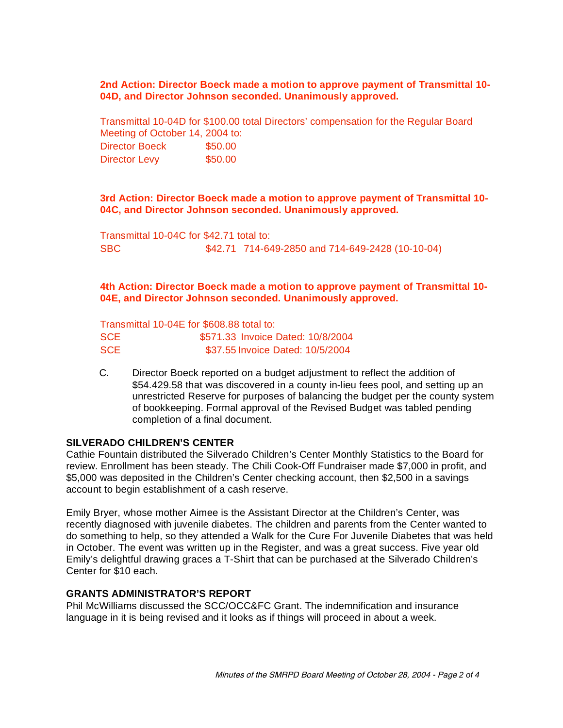#### **2nd Action: Director Boeck made a motion to approve payment of Transmittal 10- 04D, and Director Johnson seconded. Unanimously approved.**

Transmittal 10-04D for \$100.00 total Directors' compensation for the Regular Board Meeting of October 14, 2004 to: Director Boeck \$50.00 Director Levy \$50.00

#### **3rd Action: Director Boeck made a motion to approve payment of Transmittal 10- 04C, and Director Johnson seconded. Unanimously approved.**

Transmittal 10-04C for \$42.71 total to: SBC \$42.71 714-649-2850 and 714-649-2428 (10-10-04)

### **4th Action: Director Boeck made a motion to approve payment of Transmittal 10- 04E, and Director Johnson seconded. Unanimously approved.**

Transmittal 10-04E for \$608.88 total to: SCE 5571.33 Invoice Dated: 10/8/2004 SCE \$37.55 Invoice Dated: 10/5/2004

C. Director Boeck reported on a budget adjustment to reflect the addition of \$54.429.58 that was discovered in a county in-lieu fees pool, and setting up an unrestricted Reserve for purposes of balancing the budget per the county system of bookkeeping. Formal approval of the Revised Budget was tabled pending completion of a final document.

#### **SILVERADO CHILDREN'S CENTER**

Cathie Fountain distributed the Silverado Children's Center Monthly Statistics to the Board for review. Enrollment has been steady. The Chili Cook-Off Fundraiser made \$7,000 in profit, and \$5,000 was deposited in the Children's Center checking account, then \$2,500 in a savings account to begin establishment of a cash reserve.

Emily Bryer, whose mother Aimee is the Assistant Director at the Children's Center, was recently diagnosed with juvenile diabetes. The children and parents from the Center wanted to do something to help, so they attended a Walk for the Cure For Juvenile Diabetes that was held in October. The event was written up in the Register, and was a great success. Five year old Emily's delightful drawing graces a T-Shirt that can be purchased at the Silverado Children's Center for \$10 each.

# **GRANTS ADMINISTRATOR'S REPORT**

Phil McWilliams discussed the SCC/OCC&FC Grant. The indemnification and insurance language in it is being revised and it looks as if things will proceed in about a week.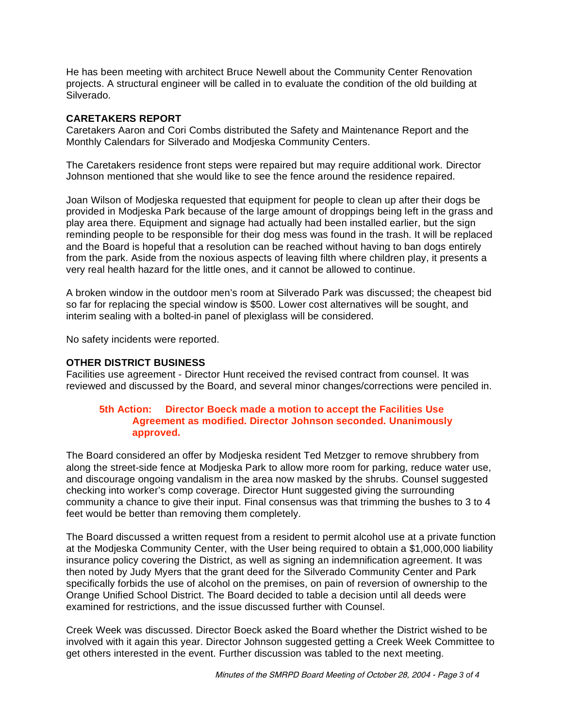He has been meeting with architect Bruce Newell about the Community Center Renovation projects. A structural engineer will be called in to evaluate the condition of the old building at Silverado.

# **CARETAKERS REPORT**

Caretakers Aaron and Cori Combs distributed the Safety and Maintenance Report and the Monthly Calendars for Silverado and Modjeska Community Centers.

The Caretakers residence front steps were repaired but may require additional work. Director Johnson mentioned that she would like to see the fence around the residence repaired.

Joan Wilson of Modjeska requested that equipment for people to clean up after their dogs be provided in Modjeska Park because of the large amount of droppings being left in the grass and play area there. Equipment and signage had actually had been installed earlier, but the sign reminding people to be responsible for their dog mess was found in the trash. It will be replaced and the Board is hopeful that a resolution can be reached without having to ban dogs entirely from the park. Aside from the noxious aspects of leaving filth where children play, it presents a very real health hazard for the little ones, and it cannot be allowed to continue.

A broken window in the outdoor men's room at Silverado Park was discussed; the cheapest bid so far for replacing the special window is \$500. Lower cost alternatives will be sought, and interim sealing with a bolted-in panel of plexiglass will be considered.

No safety incidents were reported.

#### **OTHER DISTRICT BUSINESS**

Facilities use agreement - Director Hunt received the revised contract from counsel. It was reviewed and discussed by the Board, and several minor changes/corrections were penciled in.

#### **5th Action: Director Boeck made a motion to accept the Facilities Use Agreement as modified. Director Johnson seconded. Unanimously approved.**

The Board considered an offer by Modjeska resident Ted Metzger to remove shrubbery from along the street-side fence at Modjeska Park to allow more room for parking, reduce water use, and discourage ongoing vandalism in the area now masked by the shrubs. Counsel suggested checking into worker's comp coverage. Director Hunt suggested giving the surrounding community a chance to give their input. Final consensus was that trimming the bushes to 3 to 4 feet would be better than removing them completely.

The Board discussed a written request from a resident to permit alcohol use at a private function at the Modjeska Community Center, with the User being required to obtain a \$1,000,000 liability insurance policy covering the District, as well as signing an indemnification agreement. It was then noted by Judy Myers that the grant deed for the Silverado Community Center and Park specifically forbids the use of alcohol on the premises, on pain of reversion of ownership to the Orange Unified School District. The Board decided to table a decision until all deeds were examined for restrictions, and the issue discussed further with Counsel.

Creek Week was discussed. Director Boeck asked the Board whether the District wished to be involved with it again this year. Director Johnson suggested getting a Creek Week Committee to get others interested in the event. Further discussion was tabled to the next meeting.